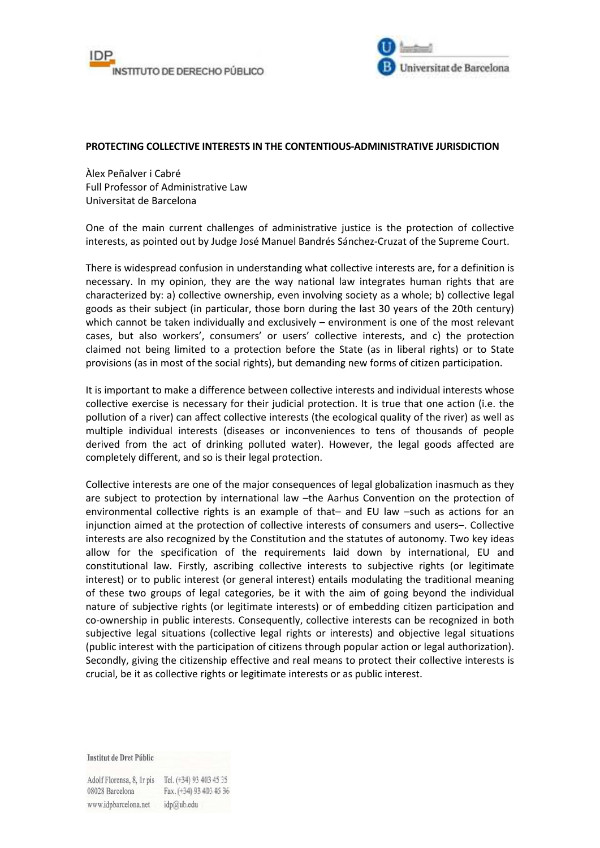



## **PROTECTING COLLECTIVE INTERESTS IN THE CONTENTIOUS-ADMINISTRATIVE JURISDICTION**

Àlex Peñalver i Cabré Full Professor of Administrative Law Universitat de Barcelona

One of the main current challenges of administrative justice is the protection of collective interests, as pointed out by Judge José Manuel Bandrés Sánchez-Cruzat of the Supreme Court.

There is widespread confusion in understanding what collective interests are, for a definition is necessary. In my opinion, they are the way national law integrates human rights that are characterized by: a) collective ownership, even involving society as a whole; b) collective legal goods as their subject (in particular, those born during the last 30 years of the 20th century) which cannot be taken individually and exclusively – environment is one of the most relevant cases, but also workers', consumers' or users' collective interests, and c) the protection claimed not being limited to a protection before the State (as in liberal rights) or to State provisions (as in most of the social rights), but demanding new forms of citizen participation.

It is important to make a difference between collective interests and individual interests whose collective exercise is necessary for their judicial protection. It is true that one action (i.e. the pollution of a river) can affect collective interests (the ecological quality of the river) as well as multiple individual interests (diseases or inconveniences to tens of thousands of people derived from the act of drinking polluted water). However, the legal goods affected are completely different, and so is their legal protection.

Collective interests are one of the major consequences of legal globalization inasmuch as they are subject to protection by international law –the Aarhus Convention on the protection of environmental collective rights is an example of that– and EU law –such as actions for an injunction aimed at the protection of collective interests of consumers and users–. Collective interests are also recognized by the Constitution and the statutes of autonomy. Two key ideas allow for the specification of the requirements laid down by international, EU and constitutional law. Firstly, ascribing collective interests to subjective rights (or legitimate interest) or to public interest (or general interest) entails modulating the traditional meaning of these two groups of legal categories, be it with the aim of going beyond the individual nature of subjective rights (or legitimate interests) or of embedding citizen participation and co-ownership in public interests. Consequently, collective interests can be recognized in both subjective legal situations (collective legal rights or interests) and objective legal situations (public interest with the participation of citizens through popular action or legal authorization). Secondly, giving the citizenship effective and real means to protect their collective interests is crucial, be it as collective rights or legitimate interests or as public interest.

Institut de Dret Públic

Adolf Florensa, 8, Ir pis Tel. (+34) 93 403 45 35 08028 Barcelona Fax. (+34) 93 403 45 36 www.idpbarcelona.net idp@ub.edu